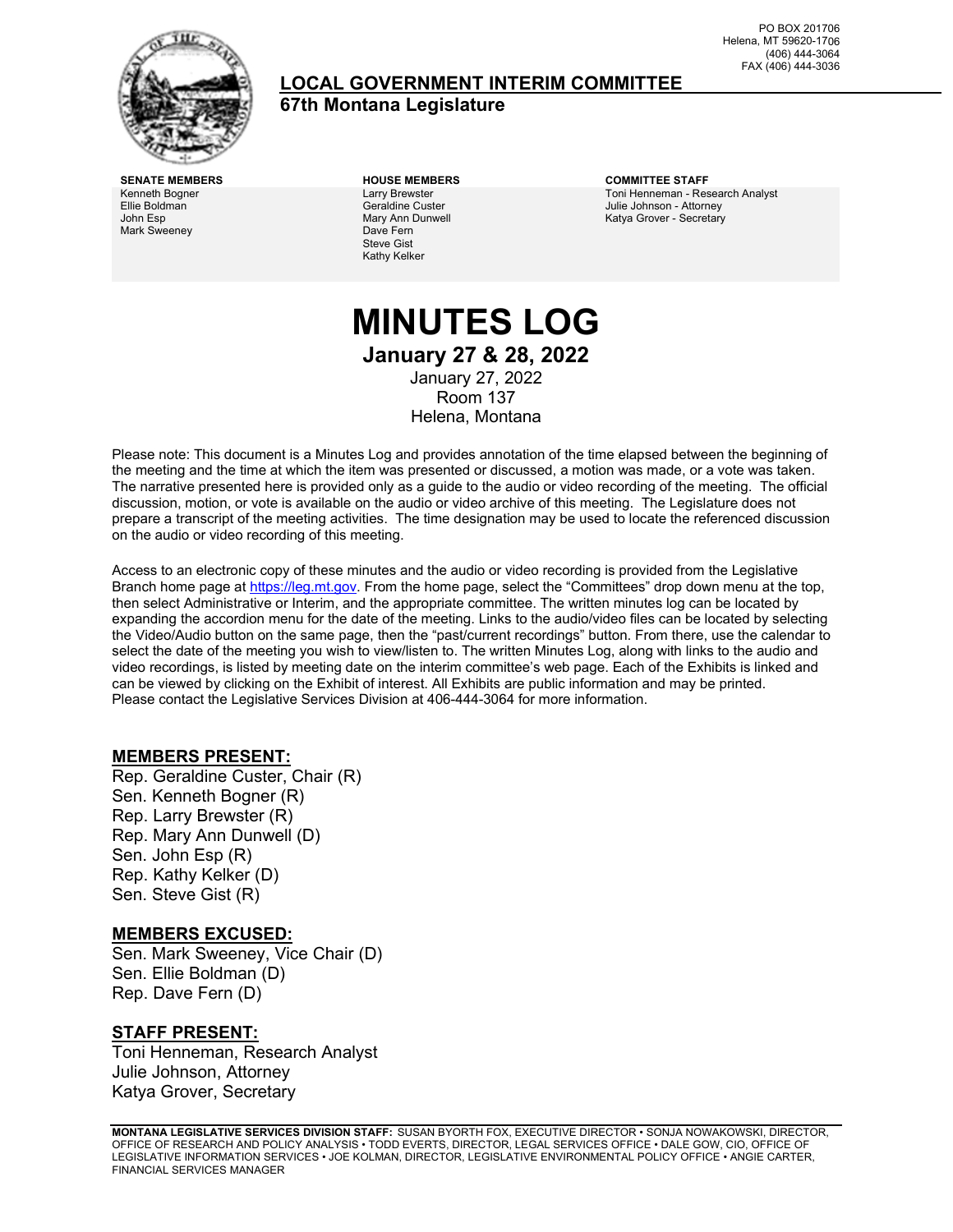

### **LOCAL GOVERNMENT INTERIM COMMITTEE**

**67th Montana Legislature**

PO BOX 201706 Helena, MT 59620-1706 (406) 444-3064 FAX (406) 444-3036

Kenneth Bogner Ellie Boldman John Esp Mark Sweeney

Larry Brewster Geraldine Custer Mary Ann Dunwell Dave Fern Steve Gist Kathy Kelker

**SENATE MEMBERS HOUSE MEMBERS COMMITTEE STAFF** Toni Henneman - Research Analyst Julie Johnson - Attorney Katya Grover - Secretary

### **MINUTES LOG January 27 & 28, 2022** January 27, 2022 Room 137 Helena, Montana

Please note: This document is a Minutes Log and provides annotation of the time elapsed between the beginning of the meeting and the time at which the item was presented or discussed, a motion was made, or a vote was taken. The narrative presented here is provided only as a guide to the audio or video recording of the meeting. The official discussion, motion, or vote is available on the audio or video archive of this meeting. The Legislature does not prepare a transcript of the meeting activities. The time designation may be used to locate the referenced discussion on the audio or video recording of this meeting.

Access to an electronic copy of these minutes and the audio or video recording is provided from the Legislative Branch home page a[t https://leg.mt.gov.](http://legmt.gov/) From the home page, select the "Committees" drop down menu at the top, then select Administrative or Interim, and the appropriate committee. The written minutes log can be located by expanding the accordion menu for the date of the meeting. Links to the audio/video files can be located by selecting the Video/Audio button on the same page, then the "past/current recordings" button. From there, use the calendar to select the date of the meeting you wish to view/listen to. The written Minutes Log, along with links to the audio and video recordings, is listed by meeting date on the interim committee's web page. Each of the Exhibits is linked and can be viewed by clicking on the Exhibit of interest. All Exhibits are public information and may be printed. Please contact the Legislative Services Division at 406-444-3064 for more information.

#### **MEMBERS PRESENT:**

Rep. Geraldine Custer, Chair (R) Sen. Kenneth Bogner (R) Rep. Larry Brewster (R) Rep. Mary Ann Dunwell (D) Sen. John Esp (R) Rep. Kathy Kelker (D) Sen. Steve Gist (R)

#### **MEMBERS EXCUSED:**

Sen. Mark Sweeney, Vice Chair (D) Sen. Ellie Boldman (D) Rep. Dave Fern (D)

#### **STAFF PRESENT:**

Toni Henneman, Research Analyst Julie Johnson, Attorney Katya Grover, Secretary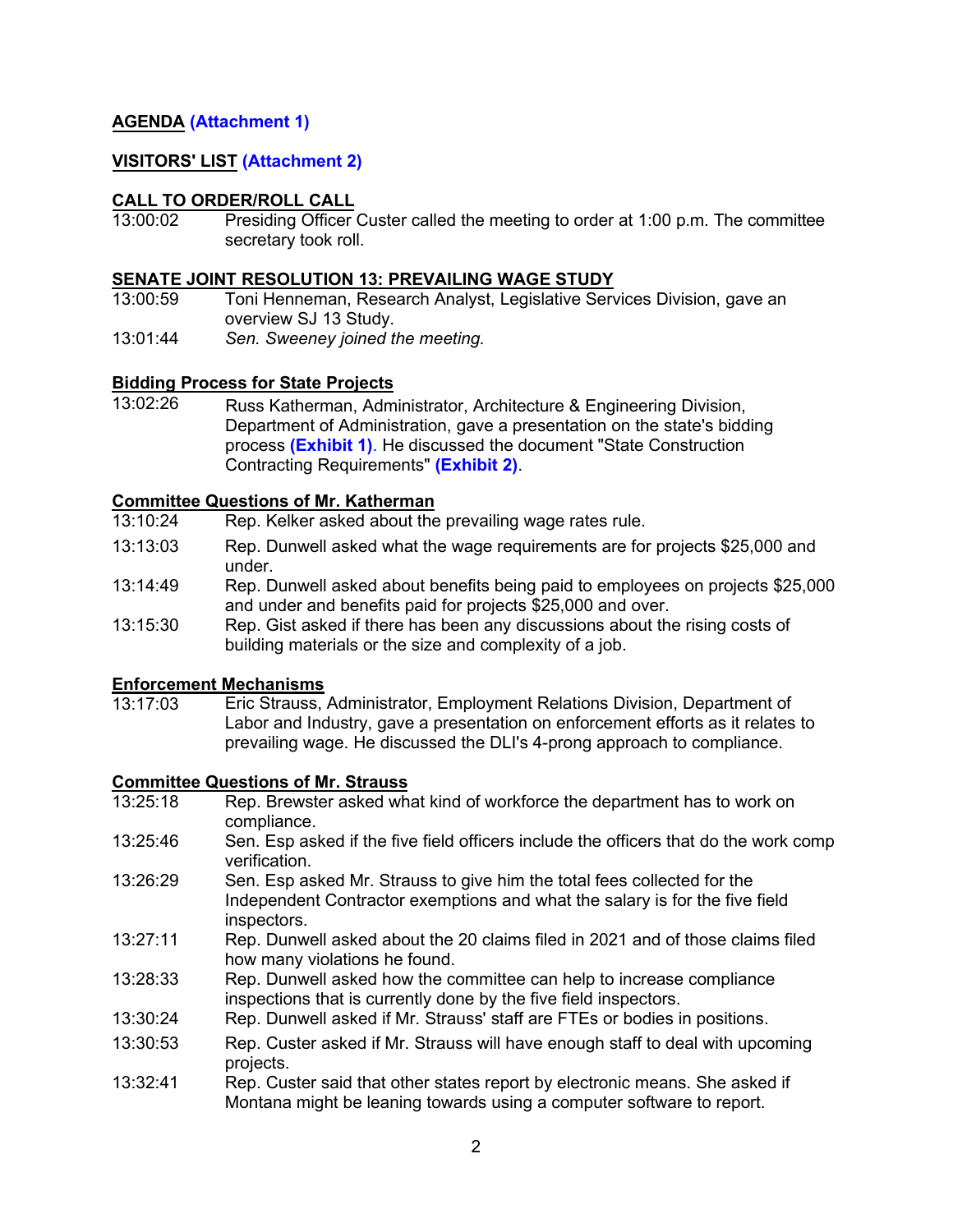#### **AGENDA [\(Attachment 1](https://leg.mt.gov/content/Committees/Interim/2021-2022/Local-Gov/22_Jan/LGIC_JanFINALAgenda.pdf))**

#### **VISITORS' LIST [\(Attachment 2](https://leg.mt.gov/content/Committees/Interim/2021-2022/Local-Gov/22_Jan/jan-27-attachment2.pdf))**

# **CALL TO ORDER/ROLL CALL**<br>13:00:02 Presiding Officer

Presiding Officer Custer called the meeting to order at 1:00 p.m. The committee secretary took roll.

# **SENATE JOINT RESOLUTION 13: PREVAILING WAGE STUDY**

- Toni Henneman, Research Analyst, Legislative Services Division, gave an overview SJ 13 Study.
- 13:01:44 *Sen. Sweeney joined the meeting.*

#### **Bidding Process for State Projects**

13:02:26 Russ Katherman, Administrator, Architecture & Engineering Division, Department of Administration, gave a presentation on the state's bidding process **[\(Exhibit 1\)](https://leg.mt.gov/content/Committees/Interim/2021-2022/Local-Gov/22_Jan/jan-27-exhibit1.pdf)**. He discussed the document "State Construction Contracting Requirements" **[\(Exhibit 2](https://leg.mt.gov/content/Committees/Interim/2021-2022/Local-Gov/22_Jan/DOA_Public_Contract_Requirements2021.pdf))**.

# **Committee Questions of Mr. Katherman**

- Rep. Kelker asked about the prevailing wage rates rule.
- 13:13:03 Rep. Dunwell asked what the wage requirements are for projects \$25,000 and under.
- 13:14:49 Rep. Dunwell asked about benefits being paid to employees on projects \$25,000 and under and benefits paid for projects \$25,000 and over.
- 13:15:30 Rep. Gist asked if there has been any discussions about the rising costs of building materials or the size and complexity of a job.

### **Enforcement Mechanisms**<br>13:17:03 **Eric Strauss**

Eric Strauss, Administrator, Employment Relations Division, Department of Labor and Industry, gave a presentation on enforcement efforts as it relates to prevailing wage. He discussed the DLI's 4-prong approach to compliance.

#### **Committee Questions of Mr. Strauss**

- 13:25:18 Rep. Brewster asked what kind of workforce the department has to work on compliance.
- 13:25:46 Sen. Esp asked if the five field officers include the officers that do the work comp verification.
- 13:26:29 Sen. Esp asked Mr. Strauss to give him the total fees collected for the Independent Contractor exemptions and what the salary is for the five field inspectors.
- 13:27:11 Rep. Dunwell asked about the 20 claims filed in 2021 and of those claims filed how many violations he found.
- 13:28:33 Rep. Dunwell asked how the committee can help to increase compliance inspections that is currently done by the five field inspectors.
- 13:30:24 Rep. Dunwell asked if Mr. Strauss' staff are FTEs or bodies in positions.
- 13:30:53 Rep. Custer asked if Mr. Strauss will have enough staff to deal with upcoming projects.
- 13:32:41 Rep. Custer said that other states report by electronic means. She asked if Montana might be leaning towards using a computer software to report.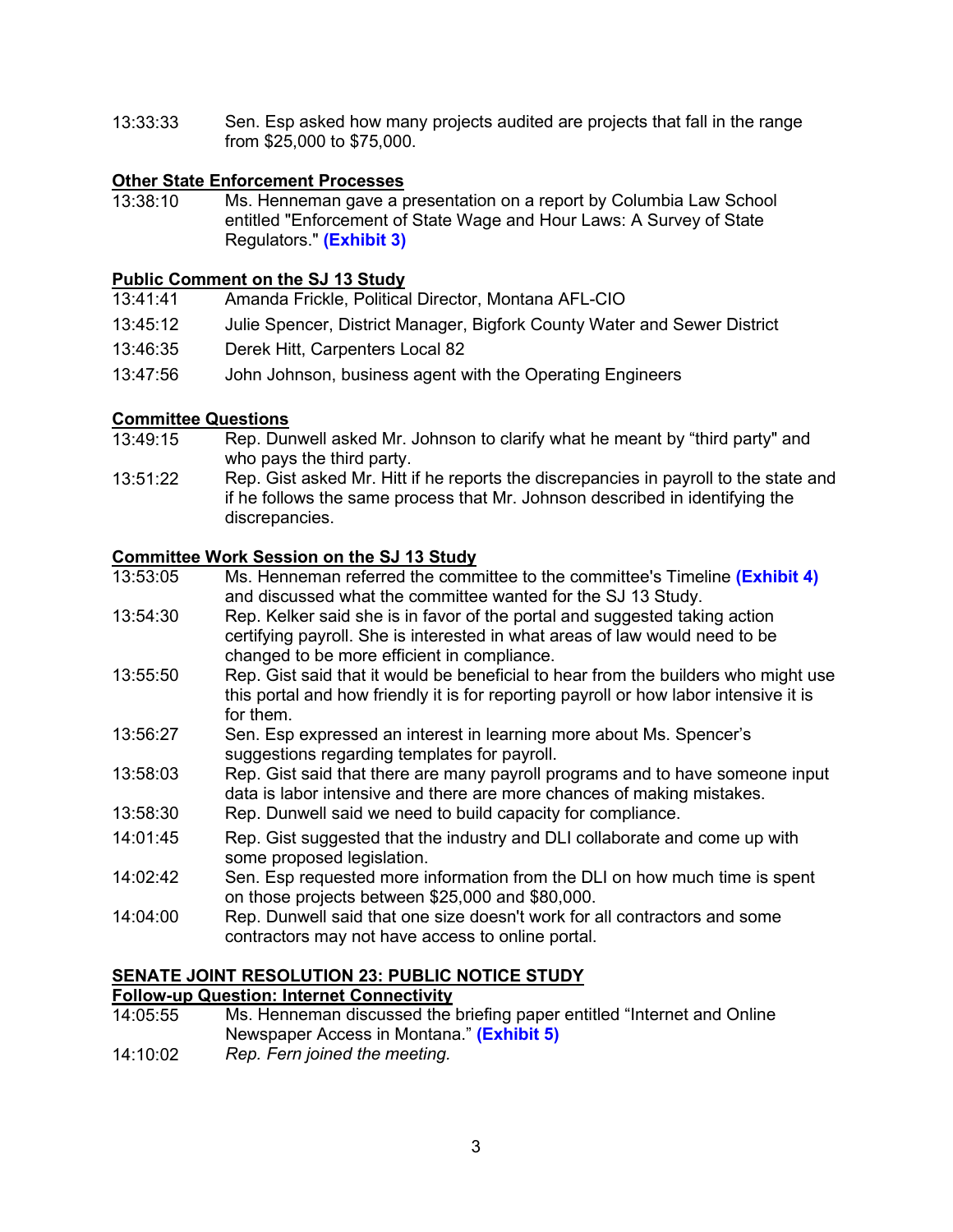13:33:33 Sen. Esp asked how many projects audited are projects that fall in the range from \$25,000 to \$75,000.

## **Other State Enforcement Processes**<br>13:38:10 Ms Henneman gave a p

Ms. Henneman gave a presentation on a report by Columbia Law School entitled "Enforcement of State Wage and Hour Laws: A Survey of State Regulators." **[\(Exhibit 3\)](https://leg.mt.gov/content/Committees/Interim/2021-2022/Local-Gov/22_Jan/ColLawSchool-EXECUTIVE_SUMMARY.pdf)**

# **Public Comment on the SJ 13 Study**

- Amanda Frickle, Political Director, Montana AFL-CIO
- 13:45:12 Julie Spencer, District Manager, Bigfork County Water and Sewer District
- 13:46:35 Derek Hitt, Carpenters Local 82
- 13:47:56 John Johnson, business agent with the Operating Engineers

# **Committee Questions**<br>13:49:15 Rep. Dur

- Rep. Dunwell asked Mr. Johnson to clarify what he meant by "third party" and who pays the third party.
- 13:51:22 Rep. Gist asked Mr. Hitt if he reports the discrepancies in payroll to the state and if he follows the same process that Mr. Johnson described in identifying the discrepancies.

#### **Committee Work Session on the SJ 13 Study**

- 13:53:05 Ms. Henneman referred the committee to the committee's Timeline **[\(Exhibit 4\)](https://leg.mt.gov/content/Committees/Interim/2021-2022/Local-Gov/22_Jan/jan-27-exhibit4.pdf)** and discussed what the committee wanted for the SJ 13 Study.
- 13:54:30 Rep. Kelker said she is in favor of the portal and suggested taking action certifying payroll. She is interested in what areas of law would need to be changed to be more efficient in compliance.
- 13:55:50 Rep. Gist said that it would be beneficial to hear from the builders who might use this portal and how friendly it is for reporting payroll or how labor intensive it is for them.
- 13:56:27 Sen. Esp expressed an interest in learning more about Ms. Spencer's suggestions regarding templates for payroll.
- 13:58:03 Rep. Gist said that there are many payroll programs and to have someone input data is labor intensive and there are more chances of making mistakes.
- 13:58:30 Rep. Dunwell said we need to build capacity for compliance.
- 14:01:45 Rep. Gist suggested that the industry and DLI collaborate and come up with some proposed legislation.
- $14.02.42$ Sen. Esp requested more information from the DLI on how much time is spent on those projects between \$25,000 and \$80,000.
- 14:04:00 Rep. Dunwell said that one size doesn't work for all contractors and some contractors may not have access to online portal.

### **SENATE JOINT RESOLUTION 23: PUBLIC NOTICE STUDY**

#### **Follow-up Question: Internet Connectivity**

- 14:05:55 Ms. Henneman discussed the briefing paper entitled "Internet and Online Newspaper Access in Montana." **[\(Exhibit 5\)](https://leg.mt.gov/content/Committees/Interim/2021-2022/Local-Gov/22_Jan/jan-27-exhibit5.pdf)**
- 14:10:02 *Rep. Fern joined the meeting.*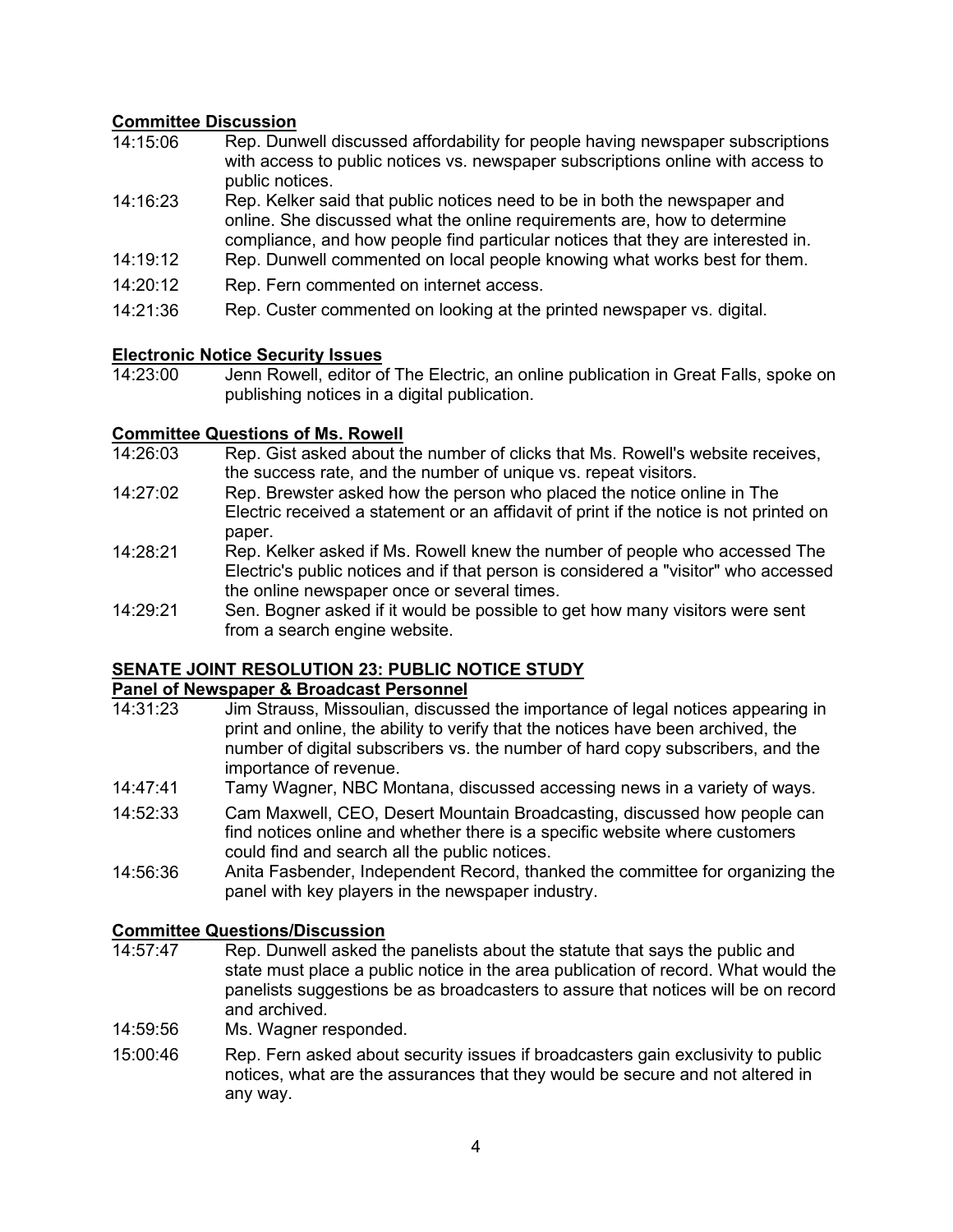#### **Committee Discussion**

- 14:15:06 Rep. Dunwell discussed affordability for people having newspaper subscriptions with access to public notices vs. newspaper subscriptions online with access to public notices.
- 14:16:23 Rep. Kelker said that public notices need to be in both the newspaper and online. She discussed what the online requirements are, how to determine compliance, and how people find particular notices that they are interested in.
- 14:19:12 Rep. Dunwell commented on local people knowing what works best for them.
- 14:20:12 Rep. Fern commented on internet access.
- 14:21:36 Rep. Custer commented on looking at the printed newspaper vs. digital.

### **Electronic Notice Security Issues**

Jenn Rowell, editor of The Electric, an online publication in Great Falls, spoke on publishing notices in a digital publication.

# **Committee Questions of Ms. Rowell**<br>14:26:03 Rep. Gist asked about the

- Rep. Gist asked about the number of clicks that Ms. Rowell's website receives, the success rate, and the number of unique vs. repeat visitors.
- 14:27:02 Rep. Brewster asked how the person who placed the notice online in The Electric received a statement or an affidavit of print if the notice is not printed on paper.
- 14:28:21 Rep. Kelker asked if Ms. Rowell knew the number of people who accessed The Electric's public notices and if that person is considered a "visitor" who accessed the online newspaper once or several times.
- 14:29:21 Sen. Bogner asked if it would be possible to get how many visitors were sent from a search engine website.

#### **SENATE JOINT RESOLUTION 23: PUBLIC NOTICE STUDY**

## **Panel of Newspaper & Broadcast Personnel**<br>14:31:23 Jim Strauss, Missoulian, discuss

- Jim Strauss, Missoulian, discussed the importance of legal notices appearing in print and online, the ability to verify that the notices have been archived, the number of digital subscribers vs. the number of hard copy subscribers, and the importance of revenue.
- 14:47:41 Tamy Wagner, NBC Montana, discussed accessing news in a variety of ways.
- 14:52:33 Cam Maxwell, CEO, Desert Mountain Broadcasting, discussed how people can find notices online and whether there is a specific website where customers could find and search all the public notices.
- 14:56:36 Anita Fasbender, Independent Record, thanked the committee for organizing the panel with key players in the newspaper industry.

## **Committee Questions/Discussion**<br>14:57:47 Rep. Dunwell asked the

- Rep. Dunwell asked the panelists about the statute that says the public and state must place a public notice in the area publication of record. What would the panelists suggestions be as broadcasters to assure that notices will be on record and archived.
- 14:59:56 Ms. Wagner responded.
- 15:00:46 Rep. Fern asked about security issues if broadcasters gain exclusivity to public notices, what are the assurances that they would be secure and not altered in any way.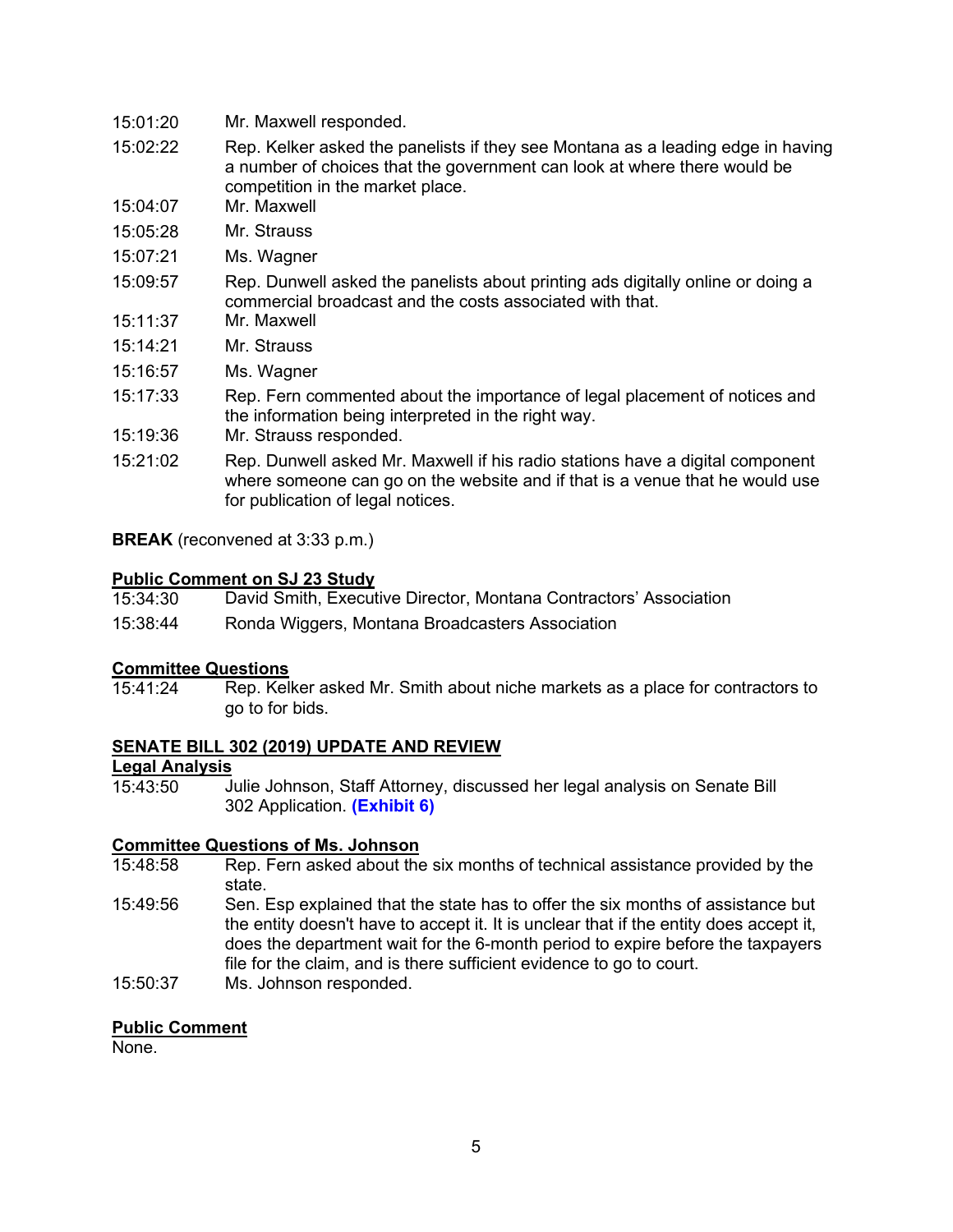- 15:01:20 Mr. Maxwell responded.
- 15:02:22 Rep. Kelker asked the panelists if they see Montana as a leading edge in having a number of choices that the government can look at where there would be competition in the market place.
- 15:04:07 Mr. Maxwell
- 15:05:28 Mr. Strauss
- 15:07:21 Ms. Wagner
- 15:09:57 Rep. Dunwell asked the panelists about printing ads digitally online or doing a commercial broadcast and the costs associated with that.
- 15:11:37 Mr. Maxwell
- 15:14:21 Mr. Strauss
- 15:16:57 Ms. Wagner
- 15:17:33 Rep. Fern commented about the importance of legal placement of notices and the information being interpreted in the right way.
- 15:19:36 Mr. Strauss responded.
- 15:21:02 Rep. Dunwell asked Mr. Maxwell if his radio stations have a digital component where someone can go on the website and if that is a venue that he would use for publication of legal notices.

**BREAK** (reconvened at 3:33 p.m.)

### **Public Comment on SJ 23 Study**

David Smith, Executive Director, Montana Contractors' Association 15:38:44 Ronda Wiggers, Montana Broadcasters Association

## **Committee Questions**

Rep. Kelker asked Mr. Smith about niche markets as a place for contractors to go to for bids.

#### **SENATE BILL 302 (2019) UPDATE AND REVIEW**

### **Legal Analysis**

Julie Johnson, Staff Attorney, discussed her legal analysis on Senate Bill 302 Application. **[\(Exhibit 6\)](https://leg.mt.gov/content/Committees/Interim/2021-2022/Local-Gov/22_Jan/SB302_LegalAnalysis.pdf)**

# **Committee Questions of Ms. Johnson**<br>15:48:58 Rep. Fern asked about the

- Rep. Fern asked about the six months of technical assistance provided by the state.
- 15:49:56 Sen. Esp explained that the state has to offer the six months of assistance but the entity doesn't have to accept it. It is unclear that if the entity does accept it, does the department wait for the 6-month period to expire before the taxpayers file for the claim, and is there sufficient evidence to go to court.
- 15:50:37 Ms. Johnson responded.

#### **Public Comment**

None.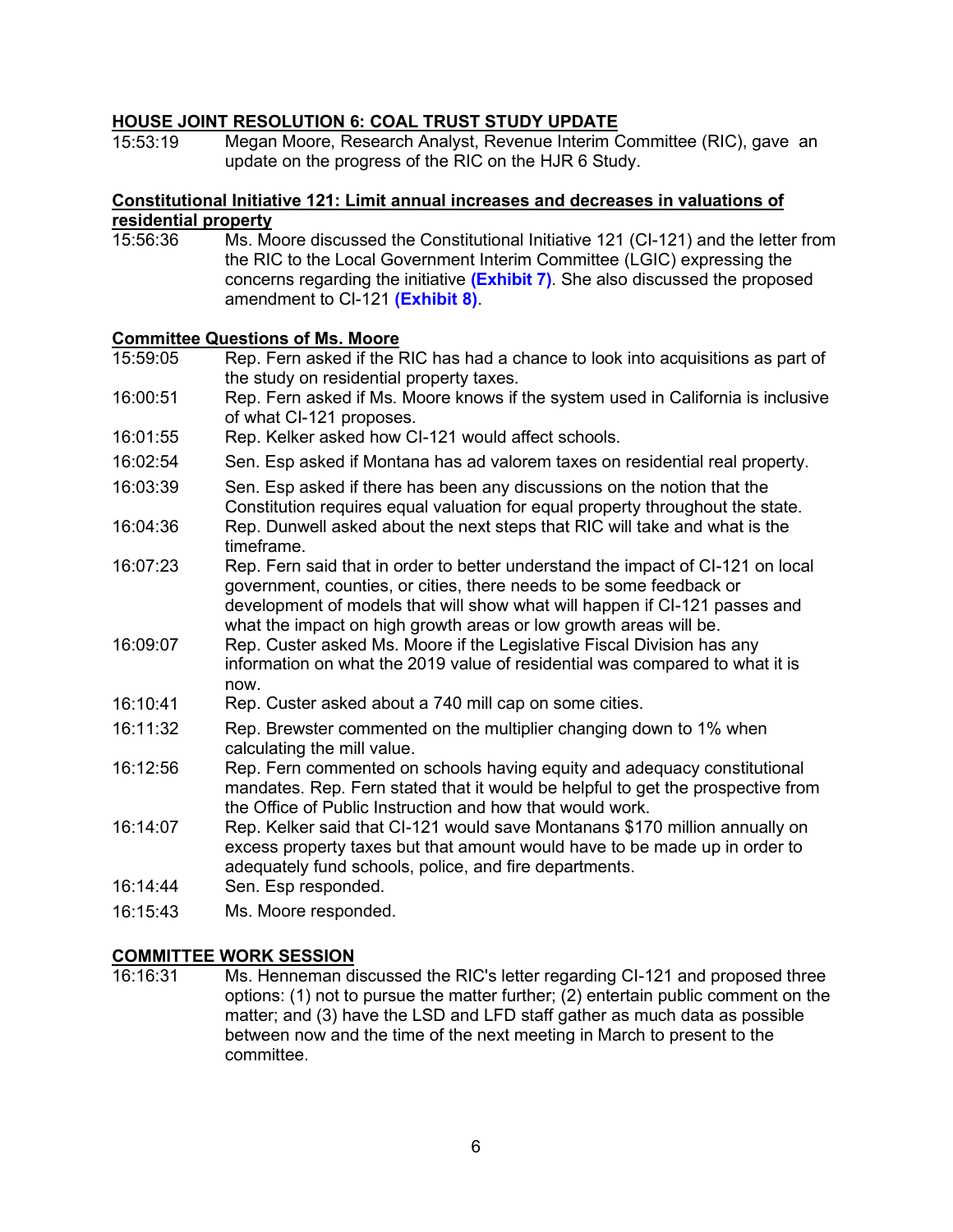#### **HOUSE JOINT RESOLUTION 6: COAL TRUST STUDY UPDATE**

15:53:19 Megan Moore, Research Analyst, Revenue Interim Committee (RIC), gave an update on the progress of the RIC on the HJR 6 Study.

### **Constitutional Initiative 121: Limit annual increases and decreases in valuations of residential property**<br>15:56:36 Ms. Mo

Ms. Moore discussed the Constitutional Initiative 121 (CI-121) and the letter from the RIC to the Local Government Interim Committee (LGIC) expressing the concerns regarding the initiative **[\(Exhibit 7\)](https://leg.mt.gov/content/Committees/Interim/2021-2022/Local-Gov/22_Jan/CI-121-committee-letter-LGIC.pdf)**. She also discussed the proposed amendment to CI-121 **[\(Exhibit 8\)](https://leg.mt.gov/content/Committees/Interim/2021-2022/Local-Gov/22_Jan/ballot-lang-for-constitutional-initiative-121.pdf)**.

#### **Committee Questions of Ms. Moore**

| 15:59:05 | Rep. Fern asked if the RIC has had a chance to look into acquisitions as part of<br>the study on residential property taxes.                                                                                                                                                                              |
|----------|-----------------------------------------------------------------------------------------------------------------------------------------------------------------------------------------------------------------------------------------------------------------------------------------------------------|
| 16:00:51 | Rep. Fern asked if Ms. Moore knows if the system used in California is inclusive<br>of what CI-121 proposes.                                                                                                                                                                                              |
| 16:01:55 | Rep. Kelker asked how CI-121 would affect schools.                                                                                                                                                                                                                                                        |
| 16:02:54 | Sen. Esp asked if Montana has ad valorem taxes on residential real property.                                                                                                                                                                                                                              |
| 16:03:39 | Sen. Esp asked if there has been any discussions on the notion that the<br>Constitution requires equal valuation for equal property throughout the state.                                                                                                                                                 |
| 16:04:36 | Rep. Dunwell asked about the next steps that RIC will take and what is the<br>timeframe.                                                                                                                                                                                                                  |
| 16:07:23 | Rep. Fern said that in order to better understand the impact of CI-121 on local<br>government, counties, or cities, there needs to be some feedback or<br>development of models that will show what will happen if CI-121 passes and<br>what the impact on high growth areas or low growth areas will be. |
| 16:09:07 | Rep. Custer asked Ms. Moore if the Legislative Fiscal Division has any<br>information on what the 2019 value of residential was compared to what it is<br>now.                                                                                                                                            |
| 16:10:41 | Rep. Custer asked about a 740 mill cap on some cities.                                                                                                                                                                                                                                                    |
| 16:11:32 | Rep. Brewster commented on the multiplier changing down to 1% when<br>calculating the mill value.                                                                                                                                                                                                         |
| 16:12:56 | Rep. Fern commented on schools having equity and adequacy constitutional<br>mandates. Rep. Fern stated that it would be helpful to get the prospective from<br>the Office of Public Instruction and how that would work.                                                                                  |
| 16:14:07 | Rep. Kelker said that CI-121 would save Montanans \$170 million annually on<br>excess property taxes but that amount would have to be made up in order to<br>adequately fund schools, police, and fire departments.                                                                                       |
| 16:14:44 | Sen. Esp responded.                                                                                                                                                                                                                                                                                       |
| 16:15:43 | Ms. Moore responded.                                                                                                                                                                                                                                                                                      |

**COMMITTEE WORK SESSION**<br>16:16:31 Ms. Henneman di Ms. Henneman discussed the RIC's letter regarding CI-121 and proposed three options: (1) not to pursue the matter further;  $(2)$  entertain public comment on the matter; and (3) have the LSD and LFD staff gather as much data as possible between now and the time of the next meeting in March to present to the committee.